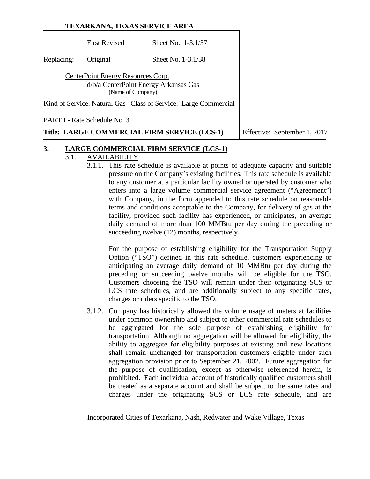|            |                                                         | TEXARKANA, TEXAS SERVICE AREA                                   |                              |
|------------|---------------------------------------------------------|-----------------------------------------------------------------|------------------------------|
|            | <b>First Revised</b>                                    | Sheet No. 1-3.1/37                                              |                              |
| Replacing: | Original                                                | Sheet No. 1-3.1/38                                              |                              |
|            | CenterPoint Energy Resources Corp.<br>(Name of Company) | d/b/a CenterPoint Energy Arkansas Gas                           |                              |
|            |                                                         | Kind of Service: Natural Gas Class of Service: Large Commercial |                              |
|            | PART I - Rate Schedule No. 3                            |                                                                 |                              |
|            |                                                         | Title: LARGE COMMERCIAL FIRM SERVICE (LCS-1)                    | Effective: September 1, 2017 |

# **3. LARGE COMMERCIAL FIRM SERVICE (LCS-1)**

#### 3.1. AVAILABILITY

3.1.1. This rate schedule is available at points of adequate capacity and suitable pressure on the Company's existing facilities. This rate schedule is available to any customer at a particular facility owned or operated by customer who enters into a large volume commercial service agreement ("Agreement") with Company, in the form appended to this rate schedule on reasonable terms and conditions acceptable to the Company, for delivery of gas at the facility, provided such facility has experienced, or anticipates, an average daily demand of more than 100 MMBtu per day during the preceding or succeeding twelve  $(12)$  months, respectively.

For the purpose of establishing eligibility for the Transportation Supply Option ("TSO") defined in this rate schedule, customers experiencing or anticipating an average daily demand of 10 MMBtu per day during the preceding or succeeding twelve months will be eligible for the TSO. Customers choosing the TSO will remain under their originating SCS or LCS rate schedules, and are additionally subject to any specific rates, charges or riders specific to the TSO.

3.1.2. Company has historically allowed the volume usage of meters at facilities under common ownership and subject to other commercial rate schedules to be aggregated for the sole purpose of establishing eligibility for transportation. Although no aggregation will be allowed for eligibility, the ability to aggregate for eligibility purposes at existing and new locations shall remain unchanged for transportation customers eligible under such aggregation provision prior to September 21, 2002. Future aggregation for the purpose of qualification, except as otherwise referenced herein, is prohibited. Each individual account of historically qualified customers shall be treated as a separate account and shall be subject to the same rates and charges under the originating SCS or LCS rate schedule, and are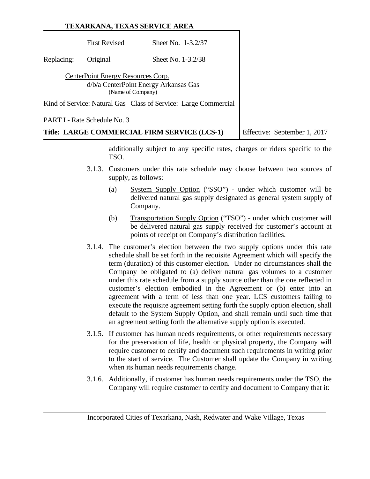# **TEXARKANA, TEXAS SERVICE AREA** First Revised Sheet No. 1-3.2/37 Replacing: Original Sheet No. 1-3.2/38 CenterPoint Energy Resources Corp. d/b/a CenterPoint Energy Arkansas Gas (Name of Company) Kind of Service: Natural Gas Class of Service: Large Commercial PART I - Rate Schedule No. 3 **Title: LARGE COMMERCIAL FIRM SERVICE (LCS-1)** Effective: September 1, 2017

additionally subject to any specific rates, charges or riders specific to the TSO.

- 3.1.3. Customers under this rate schedule may choose between two sources of supply, as follows:
	- (a) System Supply Option ("SSO") under which customer will be delivered natural gas supply designated as general system supply of Company.
	- (b) Transportation Supply Option ("TSO") under which customer will be delivered natural gas supply received for customer's account at points of receipt on Company's distribution facilities.
- 3.1.4. The customer's election between the two supply options under this rate schedule shall be set forth in the requisite Agreement which will specify the term (duration) of this customer election. Under no circumstances shall the Company be obligated to (a) deliver natural gas volumes to a customer under this rate schedule from a supply source other than the one reflected in customer's election embodied in the Agreement or (b) enter into an agreement with a term of less than one year. LCS customers failing to execute the requisite agreement setting forth the supply option election, shall default to the System Supply Option, and shall remain until such time that an agreement setting forth the alternative supply option is executed.
- 3.1.5. If customer has human needs requirements, or other requirements necessary for the preservation of life, health or physical property, the Company will require customer to certify and document such requirements in writing prior to the start of service. The Customer shall update the Company in writing when its human needs requirements change.
- 3.1.6. Additionally, if customer has human needs requirements under the TSO, the Company will require customer to certify and document to Company that it: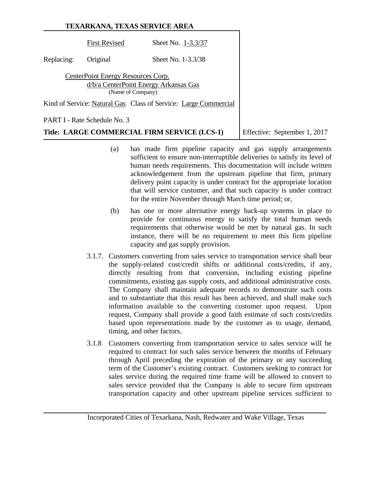|            |                                                         | TEXARKANA, TEXAS SERVICE AREA                                   |                              |
|------------|---------------------------------------------------------|-----------------------------------------------------------------|------------------------------|
|            | <b>First Revised</b>                                    | Sheet No. 1-3.3/37                                              |                              |
| Replacing: | Original                                                | Sheet No. 1-3.3/38                                              |                              |
|            | CenterPoint Energy Resources Corp.<br>(Name of Company) | d/b/a CenterPoint Energy Arkansas Gas                           |                              |
|            |                                                         | Kind of Service: Natural Gas Class of Service: Large Commercial |                              |
|            | PART I - Rate Schedule No. 3                            |                                                                 |                              |
|            |                                                         | Title: LARGE COMMERCIAL FIRM SERVICE (LCS-1)                    | Effective: September 1, 2017 |

- (a) has made firm pipeline capacity and gas supply arrangements sufficient to ensure non-interruptible deliveries to satisfy its level of human needs requirements. This documentation will include written acknowledgement from the upstream pipeline that firm, primary delivery point capacity is under contract for the appropriate location that will service customer, and that such capacity is under contract for the entire November through March time period; or,
- (b) has one or more alternative energy back-up systems in place to provide for continuous energy to satisfy the total human needs requirements that otherwise would be met by natural gas. In such instance, there will be no requirement to meet this firm pipeline capacity and gas supply provision.
- 3.1.7. Customers converting from sales service to transportation service shall bear the supply-related cost/credit shifts or additional costs/credits, if any, directly resulting from that conversion, including existing pipeline commitments, existing gas supply costs, and additional administrative costs. The Company shall maintain adequate records to demonstrate such costs and to substantiate that this result has been achieved, and shall make such information available to the converting customer upon request. Upon request, Company shall provide a good faith estimate of such costs/credits based upon representations made by the customer as to usage, demand, timing, and other factors.
- 3.1.8 Customers converting from transportation service to sales service will be required to contract for such sales service between the months of February through April preceding the expiration of the primary or any succeeding term of the Customer's existing contract. Customers seeking to contract for sales service during the required time frame will be allowed to convert to sales service provided that the Company is able to secure firm upstream transportation capacity and other upstream pipeline services sufficient to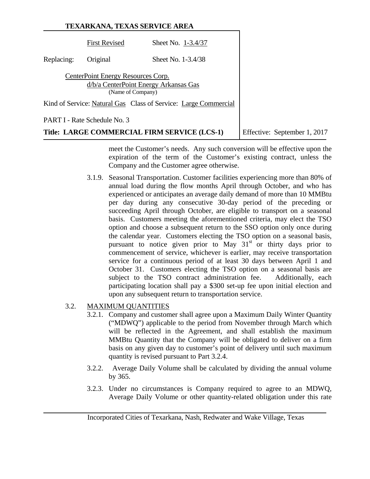|            |                                                         | TEXARKANA, TEXAS SERVICE AREA                                   |                              |
|------------|---------------------------------------------------------|-----------------------------------------------------------------|------------------------------|
|            | <b>First Revised</b>                                    | Sheet No. 1-3.4/37                                              |                              |
| Replacing: | Original                                                | Sheet No. 1-3.4/38                                              |                              |
|            | CenterPoint Energy Resources Corp.<br>(Name of Company) | d/b/a CenterPoint Energy Arkansas Gas                           |                              |
|            |                                                         | Kind of Service: Natural Gas Class of Service: Large Commercial |                              |
|            | PART I - Rate Schedule No. 3                            |                                                                 |                              |
|            |                                                         | Title: LARGE COMMERCIAL FIRM SERVICE (LCS-1)                    | Effective: September 1, 2017 |

meet the Customer's needs. Any such conversion will be effective upon the expiration of the term of the Customer's existing contract, unless the Company and the Customer agree otherwise.

3.1.9. Seasonal Transportation. Customer facilities experiencing more than 80% of annual load during the flow months April through October, and who has experienced or anticipates an average daily demand of more than 10 MMBtu per day during any consecutive 30-day period of the preceding or succeeding April through October, are eligible to transport on a seasonal basis. Customers meeting the aforementioned criteria, may elect the TSO option and choose a subsequent return to the SSO option only once during the calendar year. Customers electing the TSO option on a seasonal basis, pursuant to notice given prior to May  $31<sup>st</sup>$  or thirty days prior to commencement of service, whichever is earlier, may receive transportation service for a continuous period of at least 30 days between April 1 and October 31. Customers electing the TSO option on a seasonal basis are subject to the TSO contract administration fee. Additionally, each participating location shall pay a \$300 set-up fee upon initial election and upon any subsequent return to transportation service.

# 3.2. MAXIMUM QUANTITIES

- 3.2.1. Company and customer shall agree upon a Maximum Daily Winter Quantity ("MDWQ") applicable to the period from November through March which will be reflected in the Agreement, and shall establish the maximum MMBtu Quantity that the Company will be obligated to deliver on a firm basis on any given day to customer's point of delivery until such maximum quantity is revised pursuant to Part 3.2.4.
- 3.2.2. Average Daily Volume shall be calculated by dividing the annual volume by 365.
- 3.2.3. Under no circumstances is Company required to agree to an MDWQ, Average Daily Volume or other quantity-related obligation under this rate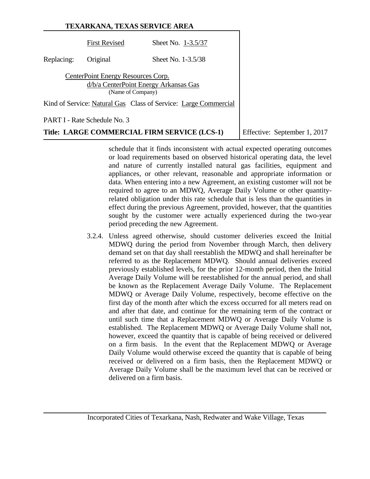|            |                                                         | TEXARKANA, TEXAS SERVICE AREA                                   |                              |
|------------|---------------------------------------------------------|-----------------------------------------------------------------|------------------------------|
|            | <b>First Revised</b>                                    | Sheet No. 1-3.5/37                                              |                              |
| Replacing: | Original                                                | Sheet No. 1-3.5/38                                              |                              |
|            | CenterPoint Energy Resources Corp.<br>(Name of Company) | d/b/a CenterPoint Energy Arkansas Gas                           |                              |
|            |                                                         | Kind of Service: Natural Gas Class of Service: Large Commercial |                              |
|            | PART I - Rate Schedule No. 3                            |                                                                 |                              |
|            |                                                         | Title: LARGE COMMERCIAL FIRM SERVICE (LCS-1)                    | Effective: September 1, 2017 |

schedule that it finds inconsistent with actual expected operating outcomes or load requirements based on observed historical operating data, the level and nature of currently installed natural gas facilities, equipment and appliances, or other relevant, reasonable and appropriate information or data. When entering into a new Agreement, an existing customer will not be required to agree to an MDWQ, Average Daily Volume or other quantityrelated obligation under this rate schedule that is less than the quantities in effect during the previous Agreement, provided, however, that the quantities sought by the customer were actually experienced during the two-year period preceding the new Agreement.

3.2.4. Unless agreed otherwise, should customer deliveries exceed the Initial MDWQ during the period from November through March, then delivery demand set on that day shall reestablish the MDWQ and shall hereinafter be referred to as the Replacement MDWQ. Should annual deliveries exceed previously established levels, for the prior 12-month period, then the Initial Average Daily Volume will be reestablished for the annual period, and shall be known as the Replacement Average Daily Volume. The Replacement MDWQ or Average Daily Volume, respectively, become effective on the first day of the month after which the excess occurred for all meters read on and after that date, and continue for the remaining term of the contract or until such time that a Replacement MDWQ or Average Daily Volume is established. The Replacement MDWQ or Average Daily Volume shall not, however, exceed the quantity that is capable of being received or delivered on a firm basis. In the event that the Replacement MDWQ or Average Daily Volume would otherwise exceed the quantity that is capable of being received or delivered on a firm basis, then the Replacement MDWQ or Average Daily Volume shall be the maximum level that can be received or delivered on a firm basis.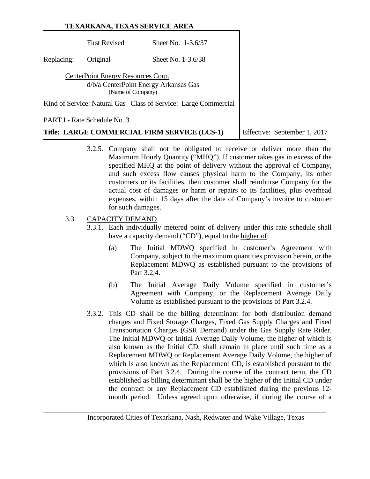|            |                                                         | TEXARKANA, TEXAS SERVICE AREA                                   |                              |  |
|------------|---------------------------------------------------------|-----------------------------------------------------------------|------------------------------|--|
|            | <b>First Revised</b>                                    | Sheet No. 1-3.6/37                                              |                              |  |
| Replacing: | Original                                                | Sheet No. 1-3.6/38                                              |                              |  |
|            | CenterPoint Energy Resources Corp.<br>(Name of Company) | d/b/a CenterPoint Energy Arkansas Gas                           |                              |  |
|            |                                                         | Kind of Service: Natural Gas Class of Service: Large Commercial |                              |  |
|            | PART I - Rate Schedule No. 3                            |                                                                 |                              |  |
|            |                                                         | Title: LARGE COMMERCIAL FIRM SERVICE (LCS-1)                    | Effective: September 1, 2017 |  |

3.2.5. Company shall not be obligated to receive or deliver more than the Maximum Hourly Quantity ("MHQ"). If customer takes gas in excess of the specified MHQ at the point of delivery without the approval of Company, and such excess flow causes physical harm to the Company, its other customers or its facilities, then customer shall reimburse Company for the actual cost of damages or harm or repairs to its facilities, plus overhead expenses, within 15 days after the date of Company's invoice to customer for such damages.

# 3.3. CAPACITY DEMAND

- 3.3.1. Each individually metered point of delivery under this rate schedule shall have a capacity demand ("CD"), equal to the higher of:
	- (a) The Initial MDWQ specified in customer's Agreement with Company, subject to the maximum quantities provision herein, or the Replacement MDWQ as established pursuant to the provisions of Part 3.2.4.
	- (b) The Initial Average Daily Volume specified in customer's Agreement with Company, or the Replacement Average Daily Volume as established pursuant to the provisions of Part 3.2.4.
- 3.3.2. This CD shall be the billing determinant for both distribution demand charges and Fixed Storage Charges, Fixed Gas Supply Charges and Fixed Transportation Charges (GSR Demand) under the Gas Supply Rate Rider. The Initial MDWQ or Initial Average Daily Volume, the higher of which is also known as the Initial CD, shall remain in place until such time as a Replacement MDWQ or Replacement Average Daily Volume, the higher of which is also known as the Replacement CD, is established pursuant to the provisions of Part 3.2.4. During the course of the contract term, the CD established as billing determinant shall be the higher of the Initial CD under the contract or any Replacement CD established during the previous 12 month period. Unless agreed upon otherwise, if during the course of a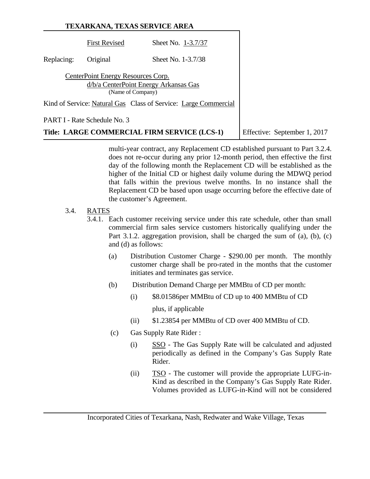|            |                                                         | TEXARKANA, TEXAS SERVICE AREA                                   |                              |
|------------|---------------------------------------------------------|-----------------------------------------------------------------|------------------------------|
|            | <b>First Revised</b>                                    | Sheet No. 1-3.7/37                                              |                              |
| Replacing: | Original                                                | Sheet No. 1-3.7/38                                              |                              |
|            | CenterPoint Energy Resources Corp.<br>(Name of Company) | d/b/a CenterPoint Energy Arkansas Gas                           |                              |
|            |                                                         | Kind of Service: Natural Gas Class of Service: Large Commercial |                              |
|            | PART I - Rate Schedule No. 3                            |                                                                 |                              |
|            |                                                         | Title: LARGE COMMERCIAL FIRM SERVICE (LCS-1)                    | Effective: September 1, 2017 |

multi-year contract, any Replacement CD established pursuant to Part 3.2.4. does not re-occur during any prior 12-month period, then effective the first day of the following month the Replacement CD will be established as the higher of the Initial CD or highest daily volume during the MDWQ period that falls within the previous twelve months. In no instance shall the Replacement CD be based upon usage occurring before the effective date of the customer's Agreement.

# 3.4. RATES

- 3.4.1. Each customer receiving service under this rate schedule, other than small commercial firm sales service customers historically qualifying under the Part 3.1.2. aggregation provision, shall be charged the sum of (a), (b), (c) and (d) as follows:
	- (a) Distribution Customer Charge \$290.00 per month. The monthly customer charge shall be pro-rated in the months that the customer initiates and terminates gas service.
	- (b) Distribution Demand Charge per MMBtu of CD per month:
		- (i) \$8.01586per MMBtu of CD up to 400 MMBtu of CD plus, if applicable
		- (ii) \$1.23854 per MMBtu of CD over 400 MMBtu of CD.
	- (c) Gas Supply Rate Rider :
		- (i) SSO The Gas Supply Rate will be calculated and adjusted periodically as defined in the Company's Gas Supply Rate Rider.
		- (ii) TSO The customer will provide the appropriate LUFG-in-Kind as described in the Company's Gas Supply Rate Rider. Volumes provided as LUFG-in-Kind will not be considered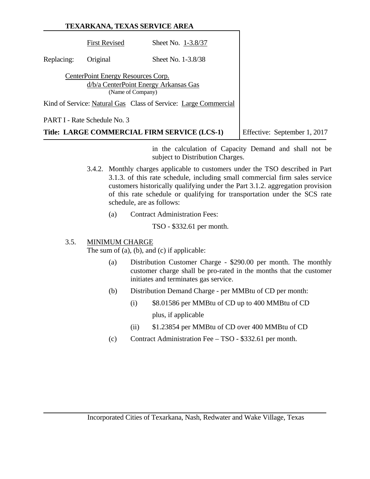|            |                                                         | TEXARKANA, TEXAS SERVICE AREA                                   |                              |
|------------|---------------------------------------------------------|-----------------------------------------------------------------|------------------------------|
|            | <b>First Revised</b>                                    | Sheet No. 1-3.8/37                                              |                              |
| Replacing: | Original                                                | Sheet No. 1-3.8/38                                              |                              |
|            | CenterPoint Energy Resources Corp.<br>(Name of Company) | d/b/a CenterPoint Energy Arkansas Gas                           |                              |
|            |                                                         | Kind of Service: Natural Gas Class of Service: Large Commercial |                              |
|            | PART I - Rate Schedule No. 3                            |                                                                 |                              |
|            |                                                         | Title: LARGE COMMERCIAL FIRM SERVICE (LCS-1)                    | Effective: September 1, 2017 |

in the calculation of Capacity Demand and shall not be subject to Distribution Charges.

- 3.4.2. Monthly charges applicable to customers under the TSO described in Part 3.1.3. of this rate schedule, including small commercial firm sales service customers historically qualifying under the Part 3.1.2. aggregation provision of this rate schedule or qualifying for transportation under the SCS rate schedule, are as follows:
	- (a) Contract Administration Fees:

TSO - \$332.61 per month.

# 3.5. MINIMUM CHARGE

The sum of (a), (b), and (c) if applicable:

- (a) Distribution Customer Charge \$290.00 per month. The monthly customer charge shall be pro-rated in the months that the customer initiates and terminates gas service.
- (b) Distribution Demand Charge per MMBtu of CD per month:
	- (i) \$8.01586 per MMBtu of CD up to 400 MMBtu of CD plus, if applicable
	- (ii) \$1.23854 per MMBtu of CD over 400 MMBtu of CD
- (c) Contract Administration Fee TSO \$332.61 per month.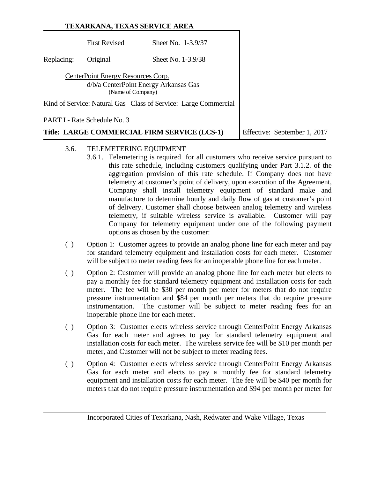|            |                                                         | TEXARKANA, TEXAS SERVICE AREA                                   |                              |
|------------|---------------------------------------------------------|-----------------------------------------------------------------|------------------------------|
|            | <b>First Revised</b>                                    | Sheet No. 1-3.9/37                                              |                              |
| Replacing: | Original                                                | Sheet No. 1-3.9/38                                              |                              |
|            | CenterPoint Energy Resources Corp.<br>(Name of Company) | d/b/a CenterPoint Energy Arkansas Gas                           |                              |
|            |                                                         | Kind of Service: Natural Gas Class of Service: Large Commercial |                              |
|            | PART I - Rate Schedule No. 3                            |                                                                 |                              |
|            |                                                         | Title: LARGE COMMERCIAL FIRM SERVICE (LCS-1)                    | Effective: September 1, 2017 |

# 3.6. TELEMETERING EQUIPMENT

- 3.6.1. Telemetering is required for all customers who receive service pursuant to this rate schedule, including customers qualifying under Part 3.1.2. of the aggregation provision of this rate schedule. If Company does not have telemetry at customer's point of delivery, upon execution of the Agreement, Company shall install telemetry equipment of standard make and manufacture to determine hourly and daily flow of gas at customer's point of delivery. Customer shall choose between analog telemetry and wireless telemetry, if suitable wireless service is available. Customer will pay Company for telemetry equipment under one of the following payment options as chosen by the customer:
- ( ) Option 1: Customer agrees to provide an analog phone line for each meter and pay for standard telemetry equipment and installation costs for each meter. Customer will be subject to meter reading fees for an inoperable phone line for each meter.
- ( ) Option 2: Customer will provide an analog phone line for each meter but elects to pay a monthly fee for standard telemetry equipment and installation costs for each meter. The fee will be \$30 per month per meter for meters that do not require pressure instrumentation and \$84 per month per meters that do require pressure instrumentation. The customer will be subject to meter reading fees for an inoperable phone line for each meter.
- ( ) Option 3: Customer elects wireless service through CenterPoint Energy Arkansas Gas for each meter and agrees to pay for standard telemetry equipment and installation costs for each meter. The wireless service fee will be \$10 per month per meter, and Customer will not be subject to meter reading fees.
- ( ) Option 4: Customer elects wireless service through CenterPoint Energy Arkansas Gas for each meter and elects to pay a monthly fee for standard telemetry equipment and installation costs for each meter. The fee will be \$40 per month for meters that do not require pressure instrumentation and \$94 per month per meter for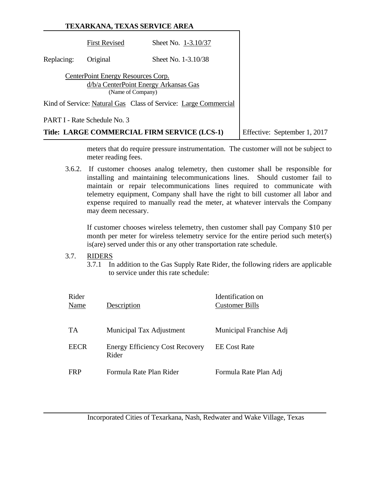|            |                                                         | TEXARKANA, TEXAS SERVICE AREA                                   |                              |
|------------|---------------------------------------------------------|-----------------------------------------------------------------|------------------------------|
|            | <b>First Revised</b>                                    | Sheet No. 1-3.10/37                                             |                              |
| Replacing: | Original                                                | Sheet No. 1-3.10/38                                             |                              |
|            | CenterPoint Energy Resources Corp.<br>(Name of Company) | d/b/a CenterPoint Energy Arkansas Gas                           |                              |
|            |                                                         | Kind of Service: Natural Gas Class of Service: Large Commercial |                              |
|            | PART I - Rate Schedule No. 3                            |                                                                 |                              |
|            |                                                         | Title: LARGE COMMERCIAL FIRM SERVICE (LCS-1)                    | Effective: September 1, 2017 |

meters that do require pressure instrumentation. The customer will not be subject to meter reading fees.

3.6.2. If customer chooses analog telemetry, then customer shall be responsible for installing and maintaining telecommunications lines. Should customer fail to maintain or repair telecommunications lines required to communicate with telemetry equipment, Company shall have the right to bill customer all labor and expense required to manually read the meter, at whatever intervals the Company may deem necessary.

If customer chooses wireless telemetry, then customer shall pay Company \$10 per month per meter for wireless telemetry service for the entire period such meter(s) is(are) served under this or any other transportation rate schedule.

# 3.7. RIDERS

3.7.1 In addition to the Gas Supply Rate Rider, the following riders are applicable to service under this rate schedule:

| Rider<br>Name | Description                                     | Identification on<br><b>Customer Bills</b> |
|---------------|-------------------------------------------------|--------------------------------------------|
| TA            | Municipal Tax Adjustment                        | Municipal Franchise Adj                    |
| <b>EECR</b>   | <b>Energy Efficiency Cost Recovery</b><br>Rider | <b>EE</b> Cost Rate                        |
| <b>FRP</b>    | Formula Rate Plan Rider                         | Formula Rate Plan Adj                      |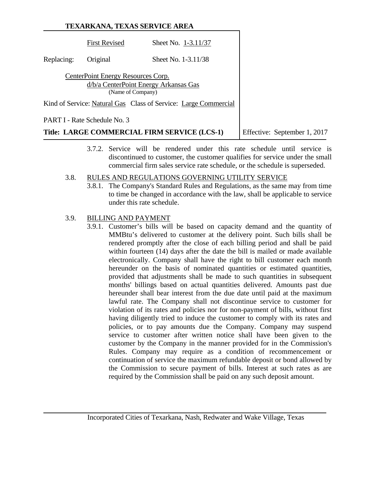|            | TEXARKANA, TEXAS SERVICE AREA                           |                                                                 |                              |
|------------|---------------------------------------------------------|-----------------------------------------------------------------|------------------------------|
|            | <b>First Revised</b>                                    | Sheet No. 1-3.11/37                                             |                              |
| Replacing: | Original                                                | Sheet No. 1-3.11/38                                             |                              |
|            | CenterPoint Energy Resources Corp.<br>(Name of Company) | d/b/a CenterPoint Energy Arkansas Gas                           |                              |
|            |                                                         | Kind of Service: Natural Gas Class of Service: Large Commercial |                              |
|            | PART I - Rate Schedule No. 3                            |                                                                 |                              |
|            |                                                         | Title: LARGE COMMERCIAL FIRM SERVICE (LCS-1)                    | Effective: September 1, 2017 |

3.7.2. Service will be rendered under this rate schedule until service is discontinued to customer, the customer qualifies for service under the small commercial firm sales service rate schedule, or the schedule is superseded.

#### 3.8. RULES AND REGULATIONS GOVERNING UTILITY SERVICE

3.8.1. The Company's Standard Rules and Regulations, as the same may from time to time be changed in accordance with the law, shall be applicable to service under this rate schedule.

# 3.9. BILLING AND PAYMENT

3.9.1. Customer's bills will be based on capacity demand and the quantity of MMBtu's delivered to customer at the delivery point. Such bills shall be rendered promptly after the close of each billing period and shall be paid within fourteen (14) days after the date the bill is mailed or made available electronically. Company shall have the right to bill customer each month hereunder on the basis of nominated quantities or estimated quantities, provided that adjustments shall be made to such quantities in subsequent months' billings based on actual quantities delivered. Amounts past due hereunder shall bear interest from the due date until paid at the maximum lawful rate. The Company shall not discontinue service to customer for violation of its rates and policies nor for non-payment of bills, without first having diligently tried to induce the customer to comply with its rates and policies, or to pay amounts due the Company. Company may suspend service to customer after written notice shall have been given to the customer by the Company in the manner provided for in the Commission's Rules. Company may require as a condition of recommencement or continuation of service the maximum refundable deposit or bond allowed by the Commission to secure payment of bills. Interest at such rates as are required by the Commission shall be paid on any such deposit amount.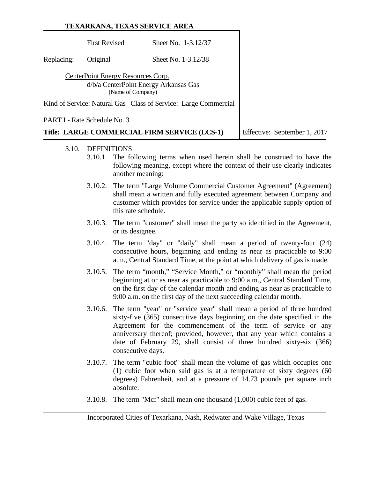|            |                                                         | TEXARKANA, TEXAS SERVICE AREA                                   |                              |
|------------|---------------------------------------------------------|-----------------------------------------------------------------|------------------------------|
|            | <b>First Revised</b>                                    | Sheet No. 1-3.12/37                                             |                              |
| Replacing: | Original                                                | Sheet No. 1-3.12/38                                             |                              |
|            | CenterPoint Energy Resources Corp.<br>(Name of Company) | d/b/a CenterPoint Energy Arkansas Gas                           |                              |
|            |                                                         | Kind of Service: Natural Gas Class of Service: Large Commercial |                              |
|            | PART I - Rate Schedule No. 3                            |                                                                 |                              |
|            |                                                         | Title: LARGE COMMERCIAL FIRM SERVICE (LCS-1)                    | Effective: September 1, 2017 |

- 3.10. DEFINITIONS
	- 3.10.1. The following terms when used herein shall be construed to have the following meaning, except where the context of their use clearly indicates another meaning:
	- 3.10.2. The term "Large Volume Commercial Customer Agreement" (Agreement) shall mean a written and fully executed agreement between Company and customer which provides for service under the applicable supply option of this rate schedule.
	- 3.10.3. The term "customer" shall mean the party so identified in the Agreement, or its designee.
	- 3.10.4. The term "day" or "daily" shall mean a period of twenty-four (24) consecutive hours, beginning and ending as near as practicable to 9:00 a.m., Central Standard Time, at the point at which delivery of gas is made.
	- 3.10.5. The term "month," "Service Month," or "monthly" shall mean the period beginning at or as near as practicable to 9:00 a.m., Central Standard Time, on the first day of the calendar month and ending as near as practicable to 9:00 a.m. on the first day of the next succeeding calendar month.
	- 3.10.6. The term "year" or "service year" shall mean a period of three hundred sixty-five (365) consecutive days beginning on the date specified in the Agreement for the commencement of the term of service or any anniversary thereof; provided, however, that any year which contains a date of February 29, shall consist of three hundred sixty-six (366) consecutive days.
	- 3.10.7. The term "cubic foot" shall mean the volume of gas which occupies one (1) cubic foot when said gas is at a temperature of sixty degrees (60 degrees) Fahrenheit, and at a pressure of 14.73 pounds per square inch absolute.
	- 3.10.8. The term "Mcf" shall mean one thousand (1,000) cubic feet of gas.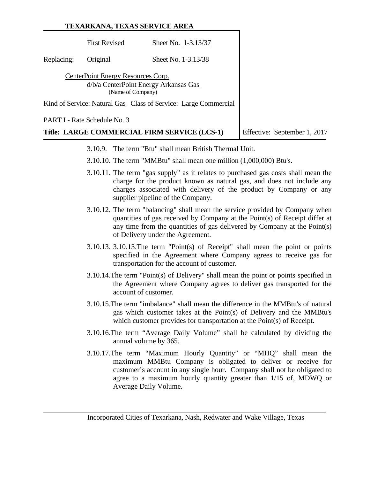|            |                                                         | TEXARKANA, TEXAS SERVICE AREA                                   |                              |
|------------|---------------------------------------------------------|-----------------------------------------------------------------|------------------------------|
|            | <b>First Revised</b>                                    | Sheet No. 1-3.13/37                                             |                              |
| Replacing: | Original                                                | Sheet No. 1-3.13/38                                             |                              |
|            | CenterPoint Energy Resources Corp.<br>(Name of Company) | d/b/a CenterPoint Energy Arkansas Gas                           |                              |
|            |                                                         | Kind of Service: Natural Gas Class of Service: Large Commercial |                              |
|            | PART I - Rate Schedule No. 3                            |                                                                 |                              |
|            |                                                         | Title: LARGE COMMERCIAL FIRM SERVICE (LCS-1)                    | Effective: September 1, 2017 |

- 3.10.9. The term "Btu" shall mean British Thermal Unit.
- 3.10.10. The term "MMBtu" shall mean one million (1,000,000) Btu's.
- 3.10.11. The term "gas supply" as it relates to purchased gas costs shall mean the charge for the product known as natural gas, and does not include any charges associated with delivery of the product by Company or any supplier pipeline of the Company.
- 3.10.12. The term "balancing" shall mean the service provided by Company when quantities of gas received by Company at the Point(s) of Receipt differ at any time from the quantities of gas delivered by Company at the Point(s) of Delivery under the Agreement.
- 3.10.13. 3.10.13.The term "Point(s) of Receipt" shall mean the point or points specified in the Agreement where Company agrees to receive gas for transportation for the account of customer.
- 3.10.14.The term "Point(s) of Delivery" shall mean the point or points specified in the Agreement where Company agrees to deliver gas transported for the account of customer.
- 3.10.15.The term "imbalance" shall mean the difference in the MMBtu's of natural gas which customer takes at the Point(s) of Delivery and the MMBtu's which customer provides for transportation at the Point(s) of Receipt.
- 3.10.16.The term "Average Daily Volume" shall be calculated by dividing the annual volume by 365.
- 3.10.17.The term "Maximum Hourly Quantity" or "MHQ" shall mean the maximum MMBtu Company is obligated to deliver or receive for customer's account in any single hour. Company shall not be obligated to agree to a maximum hourly quantity greater than 1/15 of, MDWQ or Average Daily Volume.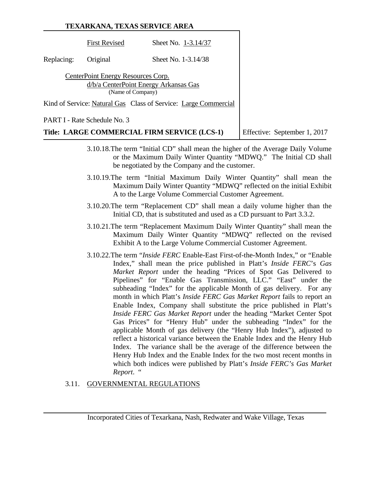# **TEXARKANA, TEXAS SERVICE AREA** First Revised Sheet No. 1-3.14/37 Replacing: Original Sheet No. 1-3.14/38 CenterPoint Energy Resources Corp. d/b/a CenterPoint Energy Arkansas Gas (Name of Company) Kind of Service: Natural Gas Class of Service: Large Commercial PART I - Rate Schedule No. 3 **Title: LARGE COMMERCIAL FIRM SERVICE (LCS-1)** Effective: September 1, 2017

- 3.10.18.The term "Initial CD" shall mean the higher of the Average Daily Volume or the Maximum Daily Winter Quantity "MDWQ." The Initial CD shall be negotiated by the Company and the customer.
- 3.10.19.The term "Initial Maximum Daily Winter Quantity" shall mean the Maximum Daily Winter Quantity "MDWQ" reflected on the initial Exhibit A to the Large Volume Commercial Customer Agreement.
- 3.10.20.The term "Replacement CD" shall mean a daily volume higher than the Initial CD, that is substituted and used as a CD pursuant to Part 3.3.2.
- 3.10.21.The term "Replacement Maximum Daily Winter Quantity" shall mean the Maximum Daily Winter Quantity "MDWQ" reflected on the revised Exhibit A to the Large Volume Commercial Customer Agreement.
- 3.10.22.The term "*Inside FERC* Enable-East First-of-the-Month Index," or "Enable Index," shall mean the price published in Platt's *Inside FERC*'s *Gas Market Report* under the heading "Prices of Spot Gas Delivered to Pipelines" for "Enable Gas Transmission, LLC." "East" under the subheading "Index" for the applicable Month of gas delivery. For any month in which Platt's *Inside FERC Gas Market Report* fails to report an Enable Index, Company shall substitute the price published in Platt's *Inside FERC Gas Market Report* under the heading "Market Center Spot Gas Prices" for "Henry Hub" under the subheading "Index" for the applicable Month of gas delivery (the "Henry Hub Index"), adjusted to reflect a historical variance between the Enable Index and the Henry Hub Index. The variance shall be the average of the difference between the Henry Hub Index and the Enable Index for the two most recent months in which both indices were published by Platt's *Inside FERC's Gas Market Report*. "

# 3.11. GOVERNMENTAL REGULATIONS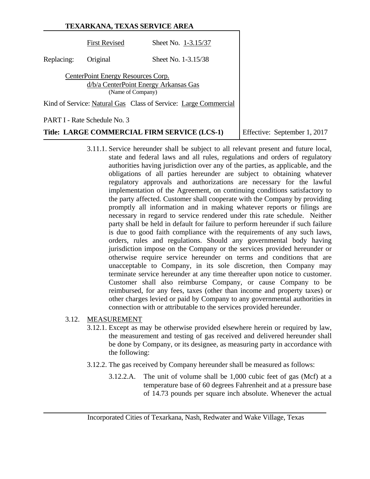|            | TEXARKANA, TEXAS SERVICE AREA                           |                                                                 |                              |  |  |
|------------|---------------------------------------------------------|-----------------------------------------------------------------|------------------------------|--|--|
|            | <b>First Revised</b>                                    | Sheet No. 1-3.15/37                                             |                              |  |  |
| Replacing: | Original                                                | Sheet No. 1-3.15/38                                             |                              |  |  |
|            | CenterPoint Energy Resources Corp.<br>(Name of Company) | d/b/a CenterPoint Energy Arkansas Gas                           |                              |  |  |
|            |                                                         | Kind of Service: Natural Gas Class of Service: Large Commercial |                              |  |  |
|            | PART I - Rate Schedule No. 3                            |                                                                 |                              |  |  |
|            |                                                         | Title: LARGE COMMERCIAL FIRM SERVICE (LCS-1)                    | Effective: September 1, 2017 |  |  |

- 3.11.1. Service hereunder shall be subject to all relevant present and future local, state and federal laws and all rules, regulations and orders of regulatory authorities having jurisdiction over any of the parties, as applicable, and the obligations of all parties hereunder are subject to obtaining whatever regulatory approvals and authorizations are necessary for the lawful implementation of the Agreement, on continuing conditions satisfactory to the party affected. Customer shall cooperate with the Company by providing promptly all information and in making whatever reports or filings are necessary in regard to service rendered under this rate schedule. Neither party shall be held in default for failure to perform hereunder if such failure is due to good faith compliance with the requirements of any such laws, orders, rules and regulations. Should any governmental body having jurisdiction impose on the Company or the services provided hereunder or otherwise require service hereunder on terms and conditions that are unacceptable to Company, in its sole discretion, then Company may terminate service hereunder at any time thereafter upon notice to customer. Customer shall also reimburse Company, or cause Company to be reimbursed, for any fees, taxes (other than income and property taxes) or other charges levied or paid by Company to any governmental authorities in connection with or attributable to the services provided hereunder.
- 3.12. MEASUREMENT
	- 3.12.1. Except as may be otherwise provided elsewhere herein or required by law, the measurement and testing of gas received and delivered hereunder shall be done by Company, or its designee, as measuring party in accordance with the following:
	- 3.12.2. The gas received by Company hereunder shall be measured as follows:
		- 3.12.2.A. The unit of volume shall be 1,000 cubic feet of gas (Mcf) at a temperature base of 60 degrees Fahrenheit and at a pressure base of 14.73 pounds per square inch absolute. Whenever the actual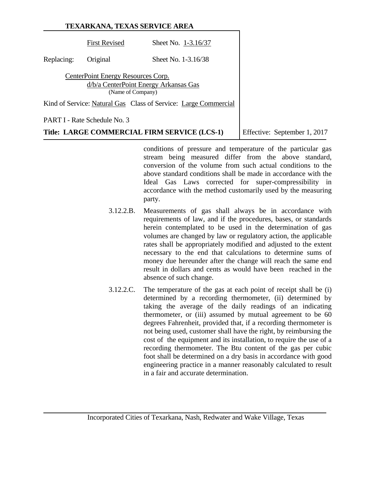|            |                                    | TEXARKANA, TEXAS SERVICE AREA                                   |
|------------|------------------------------------|-----------------------------------------------------------------|
|            | <b>First Revised</b>               | Sheet No. 1-3.16/37                                             |
| Replacing: | Original                           | Sheet No. 1-3.16/38                                             |
|            | CenterPoint Energy Resources Corp. | d/b/a CenterPoint Energy Arkansas Gas<br>(Name of Company)      |
|            |                                    | Kind of Service: Natural Gas Class of Service: Large Commercial |
|            | PART I - Rate Schedule No. 3       |                                                                 |

**Title: LARGE COMMERCIAL FIRM SERVICE (LCS-1)** Effective: September 1, 2017

conditions of pressure and temperature of the particular gas stream being measured differ from the above standard, conversion of the volume from such actual conditions to the above standard conditions shall be made in accordance with the Ideal Gas Laws corrected for super-compressibility in accordance with the method customarily used by the measuring party.

- 3.12.2.B. Measurements of gas shall always be in accordance with requirements of law, and if the procedures, bases, or standards herein contemplated to be used in the determination of gas volumes are changed by law or regulatory action, the applicable rates shall be appropriately modified and adjusted to the extent necessary to the end that calculations to determine sums of money due hereunder after the change will reach the same end result in dollars and cents as would have been reached in the absence of such change.
- 3.12.2.C. The temperature of the gas at each point of receipt shall be (i) determined by a recording thermometer, (ii) determined by taking the average of the daily readings of an indicating thermometer, or (iii) assumed by mutual agreement to be 60 degrees Fahrenheit, provided that, if a recording thermometer is not being used, customer shall have the right, by reimbursing the cost of the equipment and its installation, to require the use of a recording thermometer. The Btu content of the gas per cubic foot shall be determined on a dry basis in accordance with good engineering practice in a manner reasonably calculated to result in a fair and accurate determination.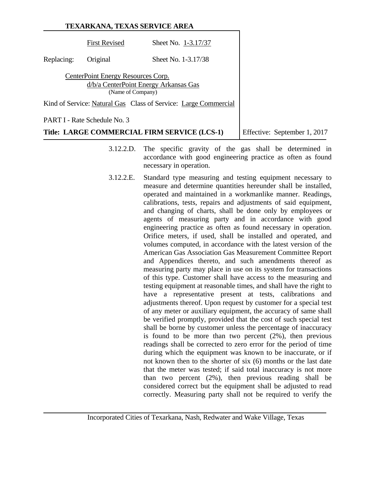|            |                                                         | TEXARKANA, TEXAS SERVICE AREA                                   |
|------------|---------------------------------------------------------|-----------------------------------------------------------------|
|            | <b>First Revised</b>                                    | Sheet No. 1-3.17/37                                             |
| Replacing: | Original                                                | Sheet No. 1-3.17/38                                             |
|            | CenterPoint Energy Resources Corp.<br>(Name of Company) | d/b/a CenterPoint Energy Arkansas Gas                           |
|            |                                                         | Kind of Service: Natural Gas Class of Service: Large Commercial |
|            | PART I - Rate Schedule No. 3                            |                                                                 |

**Title: LARGE COMMERCIAL FIRM SERVICE (LCS-1)** Effective: September 1, 2017

- 3.12.2.D. The specific gravity of the gas shall be determined in accordance with good engineering practice as often as found necessary in operation.
- 3.12.2.E. Standard type measuring and testing equipment necessary to measure and determine quantities hereunder shall be installed, operated and maintained in a workmanlike manner. Readings, calibrations, tests, repairs and adjustments of said equipment, and changing of charts, shall be done only by employees or agents of measuring party and in accordance with good engineering practice as often as found necessary in operation. Orifice meters, if used, shall be installed and operated, and volumes computed, in accordance with the latest version of the American Gas Association Gas Measurement Committee Report and Appendices thereto, and such amendments thereof as measuring party may place in use on its system for transactions of this type. Customer shall have access to the measuring and testing equipment at reasonable times, and shall have the right to have a representative present at tests, calibrations and adjustments thereof. Upon request by customer for a special test of any meter or auxiliary equipment, the accuracy of same shall be verified promptly, provided that the cost of such special test shall be borne by customer unless the percentage of inaccuracy is found to be more than two percent (2%), then previous readings shall be corrected to zero error for the period of time during which the equipment was known to be inaccurate, or if not known then to the shorter of six (6) months or the last date that the meter was tested; if said total inaccuracy is not more than two percent (2%), then previous reading shall be considered correct but the equipment shall be adjusted to read correctly. Measuring party shall not be required to verify the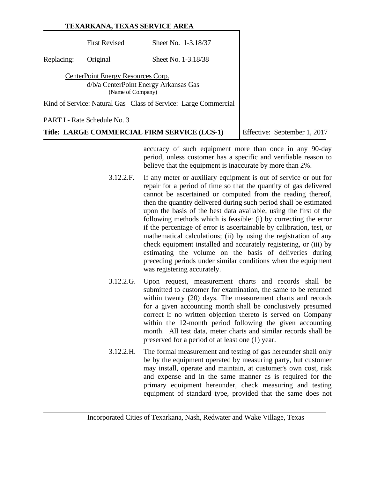|            | TEXARKANA, TEXAS SERVICE AREA                           |                                                                 |                              |  |  |
|------------|---------------------------------------------------------|-----------------------------------------------------------------|------------------------------|--|--|
|            | <b>First Revised</b>                                    | Sheet No. 1-3.18/37                                             |                              |  |  |
| Replacing: | Original                                                | Sheet No. 1-3.18/38                                             |                              |  |  |
|            | CenterPoint Energy Resources Corp.<br>(Name of Company) | d/b/a CenterPoint Energy Arkansas Gas                           |                              |  |  |
|            |                                                         | Kind of Service: Natural Gas Class of Service: Large Commercial |                              |  |  |
|            | PART I - Rate Schedule No. 3                            |                                                                 |                              |  |  |
|            |                                                         | Title: LARGE COMMERCIAL FIRM SERVICE (LCS-1)                    | Effective: September 1, 2017 |  |  |

accuracy of such equipment more than once in any 90-day period, unless customer has a specific and verifiable reason to believe that the equipment is inaccurate by more than 2%.

- 3.12.2.F. If any meter or auxiliary equipment is out of service or out for repair for a period of time so that the quantity of gas delivered cannot be ascertained or computed from the reading thereof, then the quantity delivered during such period shall be estimated upon the basis of the best data available, using the first of the following methods which is feasible: (i) by correcting the error if the percentage of error is ascertainable by calibration, test, or mathematical calculations; (ii) by using the registration of any check equipment installed and accurately registering, or (iii) by estimating the volume on the basis of deliveries during preceding periods under similar conditions when the equipment was registering accurately.
- 3.12.2.G. Upon request, measurement charts and records shall be submitted to customer for examination, the same to be returned within twenty (20) days. The measurement charts and records for a given accounting month shall be conclusively presumed correct if no written objection thereto is served on Company within the 12-month period following the given accounting month. All test data, meter charts and similar records shall be preserved for a period of at least one (1) year.
- 3.12.2.H. The formal measurement and testing of gas hereunder shall only be by the equipment operated by measuring party, but customer may install, operate and maintain, at customer's own cost, risk and expense and in the same manner as is required for the primary equipment hereunder, check measuring and testing equipment of standard type, provided that the same does not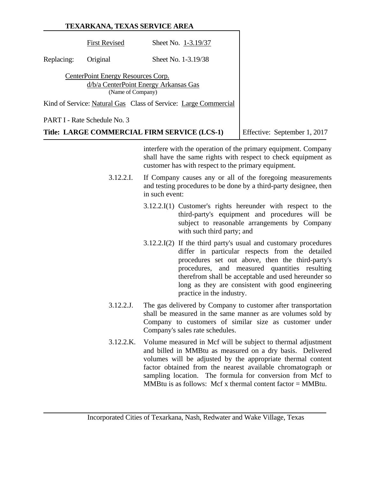|            |                                                         | TEXARKANA, TEXAS SERVICE AREA                                   |                              |
|------------|---------------------------------------------------------|-----------------------------------------------------------------|------------------------------|
|            | <b>First Revised</b>                                    | Sheet No. 1-3.19/37                                             |                              |
| Replacing: | Original                                                | Sheet No. 1-3.19/38                                             |                              |
|            | CenterPoint Energy Resources Corp.<br>(Name of Company) | d/b/a CenterPoint Energy Arkansas Gas                           |                              |
|            |                                                         | Kind of Service: Natural Gas Class of Service: Large Commercial |                              |
|            | PART I - Rate Schedule No. 3                            |                                                                 |                              |
|            |                                                         | Title: LARGE COMMERCIAL FIRM SERVICE (LCS-1)                    | Effective: September 1, 2017 |

interfere with the operation of the primary equipment. Company shall have the same rights with respect to check equipment as customer has with respect to the primary equipment.

- 3.12.2.I. If Company causes any or all of the foregoing measurements and testing procedures to be done by a third-party designee, then in such event:
	- 3.12.2.I(1) Customer's rights hereunder with respect to the third-party's equipment and procedures will be subject to reasonable arrangements by Company with such third party; and
	- 3.12.2.I(2) If the third party's usual and customary procedures differ in particular respects from the detailed procedures set out above, then the third-party's procedures, and measured quantities resulting therefrom shall be acceptable and used hereunder so long as they are consistent with good engineering practice in the industry.
- 3.12.2.J. The gas delivered by Company to customer after transportation shall be measured in the same manner as are volumes sold by Company to customers of similar size as customer under Company's sales rate schedules.
- 3.12.2.K. Volume measured in Mcf will be subject to thermal adjustment and billed in MMBtu as measured on a dry basis. Delivered volumes will be adjusted by the appropriate thermal content factor obtained from the nearest available chromatograph or sampling location. The formula for conversion from Mcf to MMBtu is as follows: Mcf x thermal content factor  $=$  MMBtu.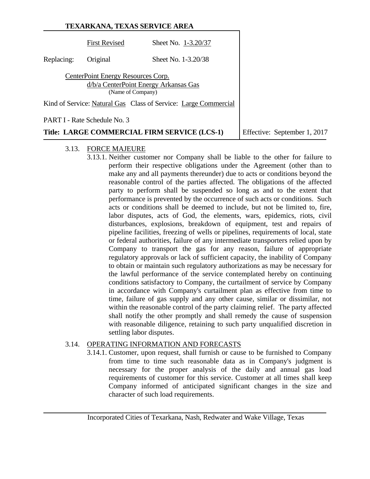|            | TEXARKANA, TEXAS SERVICE AREA                           |                                                                 |                              |
|------------|---------------------------------------------------------|-----------------------------------------------------------------|------------------------------|
|            | <b>First Revised</b>                                    | Sheet No. 1-3.20/37                                             |                              |
| Replacing: | Original                                                | Sheet No. 1-3.20/38                                             |                              |
|            | CenterPoint Energy Resources Corp.<br>(Name of Company) | d/b/a CenterPoint Energy Arkansas Gas                           |                              |
|            |                                                         | Kind of Service: Natural Gas Class of Service: Large Commercial |                              |
|            | PART I - Rate Schedule No. 3                            |                                                                 |                              |
|            |                                                         | Title: LARGE COMMERCIAL FIRM SERVICE (LCS-1)                    | Effective: September 1, 2017 |

#### 3.13. FORCE MAJEURE

3.13.1. Neither customer nor Company shall be liable to the other for failure to perform their respective obligations under the Agreement (other than to make any and all payments thereunder) due to acts or conditions beyond the reasonable control of the parties affected. The obligations of the affected party to perform shall be suspended so long as and to the extent that performance is prevented by the occurrence of such acts or conditions. Such acts or conditions shall be deemed to include, but not be limited to, fire, labor disputes, acts of God, the elements, wars, epidemics, riots, civil disturbances, explosions, breakdown of equipment, test and repairs of pipeline facilities, freezing of wells or pipelines, requirements of local, state or federal authorities, failure of any intermediate transporters relied upon by Company to transport the gas for any reason, failure of appropriate regulatory approvals or lack of sufficient capacity, the inability of Company to obtain or maintain such regulatory authorizations as may be necessary for the lawful performance of the service contemplated hereby on continuing conditions satisfactory to Company, the curtailment of service by Company in accordance with Company's curtailment plan as effective from time to time, failure of gas supply and any other cause, similar or dissimilar, not within the reasonable control of the party claiming relief. The party affected shall notify the other promptly and shall remedy the cause of suspension with reasonable diligence, retaining to such party unqualified discretion in settling labor disputes.

# 3.14. OPERATING INFORMATION AND FORECASTS

3.14.1. Customer, upon request, shall furnish or cause to be furnished to Company from time to time such reasonable data as in Company's judgment is necessary for the proper analysis of the daily and annual gas load requirements of customer for this service. Customer at all times shall keep Company informed of anticipated significant changes in the size and character of such load requirements.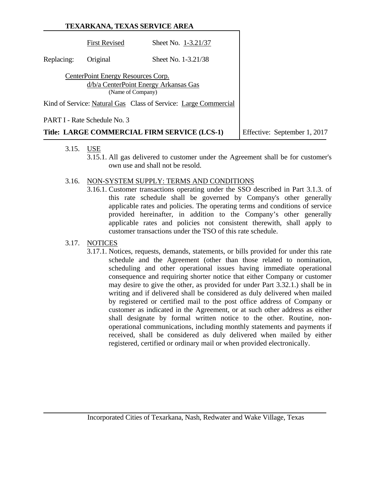|            | TEXARKANA, TEXAS SERVICE AREA                           |                                                                 |                              |
|------------|---------------------------------------------------------|-----------------------------------------------------------------|------------------------------|
|            | <b>First Revised</b>                                    | Sheet No. 1-3.21/37                                             |                              |
| Replacing: | Original                                                | Sheet No. 1-3.21/38                                             |                              |
|            | CenterPoint Energy Resources Corp.<br>(Name of Company) | d/b/a CenterPoint Energy Arkansas Gas                           |                              |
|            |                                                         | Kind of Service: Natural Gas Class of Service: Large Commercial |                              |
|            | PART I - Rate Schedule No. 3                            |                                                                 |                              |
|            |                                                         | Title: LARGE COMMERCIAL FIRM SERVICE (LCS-1)                    | Effective: September 1, 2017 |

- 3.15. USE
	- 3.15.1. All gas delivered to customer under the Agreement shall be for customer's own use and shall not be resold.
- 3.16. NON-SYSTEM SUPPLY: TERMS AND CONDITIONS
	- 3.16.1. Customer transactions operating under the SSO described in Part 3.1.3. of this rate schedule shall be governed by Company's other generally applicable rates and policies. The operating terms and conditions of service provided hereinafter, in addition to the Company's other generally applicable rates and policies not consistent therewith, shall apply to customer transactions under the TSO of this rate schedule.

# 3.17. NOTICES

3.17.1. Notices, requests, demands, statements, or bills provided for under this rate schedule and the Agreement (other than those related to nomination, scheduling and other operational issues having immediate operational consequence and requiring shorter notice that either Company or customer may desire to give the other, as provided for under Part 3.32.1.) shall be in writing and if delivered shall be considered as duly delivered when mailed by registered or certified mail to the post office address of Company or customer as indicated in the Agreement, or at such other address as either shall designate by formal written notice to the other. Routine, nonoperational communications, including monthly statements and payments if received, shall be considered as duly delivered when mailed by either registered, certified or ordinary mail or when provided electronically.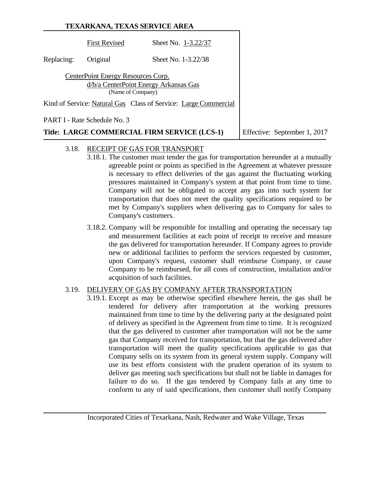|            |                                                         | TEXARKANA, TEXAS SERVICE AREA                                   |                              |
|------------|---------------------------------------------------------|-----------------------------------------------------------------|------------------------------|
|            | <b>First Revised</b>                                    | Sheet No. 1-3.22/37                                             |                              |
| Replacing: | Original                                                | Sheet No. 1-3.22/38                                             |                              |
|            | CenterPoint Energy Resources Corp.<br>(Name of Company) | d/b/a CenterPoint Energy Arkansas Gas                           |                              |
|            |                                                         | Kind of Service: Natural Gas Class of Service: Large Commercial |                              |
|            | PART I - Rate Schedule No. 3                            |                                                                 |                              |
|            |                                                         | Title: LARGE COMMERCIAL FIRM SERVICE (LCS-1)                    | Effective: September 1, 2017 |

# 3.18. RECEIPT OF GAS FOR TRANSPORT

- 3.18.1. The customer must tender the gas for transportation hereunder at a mutually agreeable point or points as specified in the Agreement at whatever pressure is necessary to effect deliveries of the gas against the fluctuating working pressures maintained in Company's system at that point from time to time. Company will not be obligated to accept any gas into such system for transportation that does not meet the quality specifications required to be met by Company's suppliers when delivering gas to Company for sales to Company's customers.
- 3.18.2. Company will be responsible for installing and operating the necessary tap and measurement facilities at each point of receipt to receive and measure the gas delivered for transportation hereunder. If Company agrees to provide new or additional facilities to perform the services requested by customer, upon Company's request, customer shall reimburse Company, or cause Company to be reimbursed, for all costs of construction, installation and/or acquisition of such facilities.

# 3.19. DELIVERY OF GAS BY COMPANY AFTER TRANSPORTATION

3.19.1. Except as may be otherwise specified elsewhere herein, the gas shall be tendered for delivery after transportation at the working pressures maintained from time to time by the delivering party at the designated point of delivery as specified in the Agreement from time to time. It is recognized that the gas delivered to customer after transportation will not be the same gas that Company received for transportation, but that the gas delivered after transportation will meet the quality specifications applicable to gas that Company sells on its system from its general system supply. Company will use its best efforts consistent with the prudent operation of its system to deliver gas meeting such specifications but shall not be liable in damages for failure to do so. If the gas tendered by Company fails at any time to conform to any of said specifications, then customer shall notify Company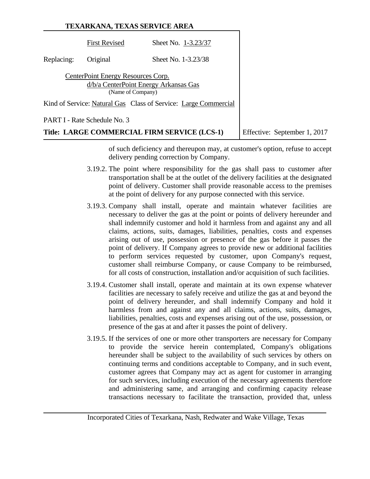|            | TEXARKANA, TEXAS SERVICE AREA                           |                                                                 |                              |
|------------|---------------------------------------------------------|-----------------------------------------------------------------|------------------------------|
|            | <b>First Revised</b>                                    | Sheet No. 1-3.23/37                                             |                              |
| Replacing: | Original                                                | Sheet No. 1-3.23/38                                             |                              |
|            | CenterPoint Energy Resources Corp.<br>(Name of Company) | d/b/a CenterPoint Energy Arkansas Gas                           |                              |
|            |                                                         | Kind of Service: Natural Gas Class of Service: Large Commercial |                              |
|            | <b>PART I - Rate Schedule No. 3</b>                     |                                                                 |                              |
|            |                                                         | Title: LARGE COMMERCIAL FIRM SERVICE (LCS-1)                    | Effective: September 1, 2017 |

of such deficiency and thereupon may, at customer's option, refuse to accept delivery pending correction by Company.

- 3.19.2. The point where responsibility for the gas shall pass to customer after transportation shall be at the outlet of the delivery facilities at the designated point of delivery. Customer shall provide reasonable access to the premises at the point of delivery for any purpose connected with this service.
- 3.19.3. Company shall install, operate and maintain whatever facilities are necessary to deliver the gas at the point or points of delivery hereunder and shall indemnify customer and hold it harmless from and against any and all claims, actions, suits, damages, liabilities, penalties, costs and expenses arising out of use, possession or presence of the gas before it passes the point of delivery. If Company agrees to provide new or additional facilities to perform services requested by customer, upon Company's request, customer shall reimburse Company, or cause Company to be reimbursed, for all costs of construction, installation and/or acquisition of such facilities.
- 3.19.4. Customer shall install, operate and maintain at its own expense whatever facilities are necessary to safely receive and utilize the gas at and beyond the point of delivery hereunder, and shall indemnify Company and hold it harmless from and against any and all claims, actions, suits, damages, liabilities, penalties, costs and expenses arising out of the use, possession, or presence of the gas at and after it passes the point of delivery.
- 3.19.5. If the services of one or more other transporters are necessary for Company to provide the service herein contemplated, Company's obligations hereunder shall be subject to the availability of such services by others on continuing terms and conditions acceptable to Company, and in such event, customer agrees that Company may act as agent for customer in arranging for such services, including execution of the necessary agreements therefore and administering same, and arranging and confirming capacity release transactions necessary to facilitate the transaction, provided that, unless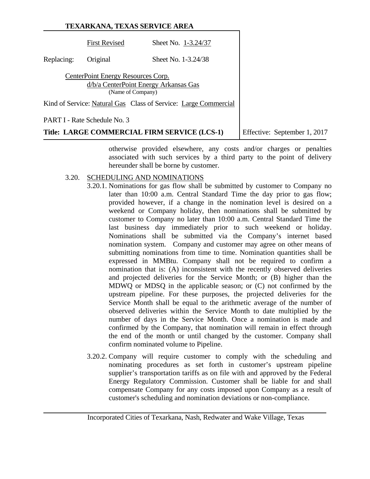# **TEXARKANA, TEXAS SERVICE AREA** First Revised Sheet No. 1-3.24/37 Replacing: Original Sheet No. 1-3.24/38 CenterPoint Energy Resources Corp. d/b/a CenterPoint Energy Arkansas Gas (Name of Company) Kind of Service: Natural Gas Class of Service: Large Commercial PART I - Rate Schedule No. 3 **Title: LARGE COMMERCIAL FIRM SERVICE (LCS-1)** Effective: September 1, 2017

otherwise provided elsewhere, any costs and/or charges or penalties associated with such services by a third party to the point of delivery hereunder shall be borne by customer.

#### 3.20. SCHEDULING AND NOMINATIONS

- 3.20.1. Nominations for gas flow shall be submitted by customer to Company no later than 10:00 a.m. Central Standard Time the day prior to gas flow; provided however, if a change in the nomination level is desired on a weekend or Company holiday, then nominations shall be submitted by customer to Company no later than 10:00 a.m. Central Standard Time the last business day immediately prior to such weekend or holiday. Nominations shall be submitted via the Company's internet based nomination system. Company and customer may agree on other means of submitting nominations from time to time. Nomination quantities shall be expressed in MMBtu. Company shall not be required to confirm a nomination that is: (A) inconsistent with the recently observed deliveries and projected deliveries for the Service Month; or (B) higher than the MDWQ or MDSQ in the applicable season; or (C) not confirmed by the upstream pipeline. For these purposes, the projected deliveries for the Service Month shall be equal to the arithmetic average of the number of observed deliveries within the Service Month to date multiplied by the number of days in the Service Month. Once a nomination is made and confirmed by the Company, that nomination will remain in effect through the end of the month or until changed by the customer. Company shall confirm nominated volume to Pipeline.
- 3.20.2. Company will require customer to comply with the scheduling and nominating procedures as set forth in customer's upstream pipeline supplier's transportation tariffs as on file with and approved by the Federal Energy Regulatory Commission. Customer shall be liable for and shall compensate Company for any costs imposed upon Company as a result of customer's scheduling and nomination deviations or non-compliance.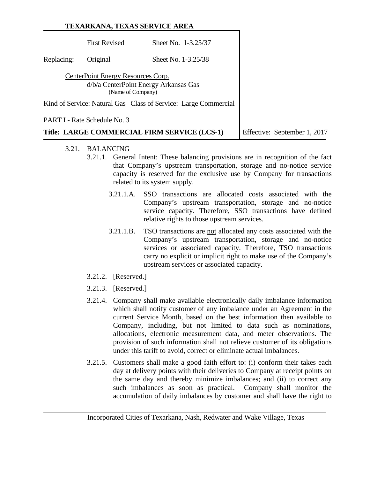|            |                                                         | TEXARKANA, TEXAS SERVICE AREA                                   |                              |
|------------|---------------------------------------------------------|-----------------------------------------------------------------|------------------------------|
|            | <b>First Revised</b>                                    | Sheet No. 1-3.25/37                                             |                              |
| Replacing: | Original                                                | Sheet No. 1-3.25/38                                             |                              |
|            | CenterPoint Energy Resources Corp.<br>(Name of Company) | d/b/a CenterPoint Energy Arkansas Gas                           |                              |
|            |                                                         | Kind of Service: Natural Gas Class of Service: Large Commercial |                              |
|            | PART I - Rate Schedule No. 3                            |                                                                 |                              |
|            |                                                         | Title: LARGE COMMERCIAL FIRM SERVICE (LCS-1)                    | Effective: September 1, 2017 |

- 3.21. BALANCING
	- 3.21.1. General Intent: These balancing provisions are in recognition of the fact that Company's upstream transportation, storage and no-notice service capacity is reserved for the exclusive use by Company for transactions related to its system supply.
		- 3.21.1.A. SSO transactions are allocated costs associated with the Company's upstream transportation, storage and no-notice service capacity. Therefore, SSO transactions have defined relative rights to those upstream services.
		- 3.21.1.B. TSO transactions are not allocated any costs associated with the Company's upstream transportation, storage and no-notice services or associated capacity. Therefore, TSO transactions carry no explicit or implicit right to make use of the Company's upstream services or associated capacity.
	- 3.21.2. [Reserved.]
	- 3.21.3. [Reserved.]
	- 3.21.4. Company shall make available electronically daily imbalance information which shall notify customer of any imbalance under an Agreement in the current Service Month, based on the best information then available to Company, including, but not limited to data such as nominations, allocations, electronic measurement data, and meter observations. The provision of such information shall not relieve customer of its obligations under this tariff to avoid, correct or eliminate actual imbalances.
	- 3.21.5. Customers shall make a good faith effort to: (i) conform their takes each day at delivery points with their deliveries to Company at receipt points on the same day and thereby minimize imbalances; and (ii) to correct any such imbalances as soon as practical. Company shall monitor the accumulation of daily imbalances by customer and shall have the right to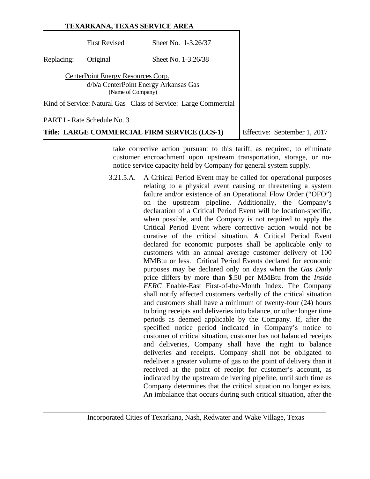|            |                                                         | TEXARKANA, TEXAS SERVICE AREA                                   |                              |
|------------|---------------------------------------------------------|-----------------------------------------------------------------|------------------------------|
|            | <b>First Revised</b>                                    | Sheet No. 1-3.26/37                                             |                              |
| Replacing: | Original                                                | Sheet No. 1-3.26/38                                             |                              |
|            | CenterPoint Energy Resources Corp.<br>(Name of Company) | d/b/a CenterPoint Energy Arkansas Gas                           |                              |
|            |                                                         | Kind of Service: Natural Gas Class of Service: Large Commercial |                              |
|            | PART I - Rate Schedule No. 3                            |                                                                 |                              |
|            |                                                         | Title: LARGE COMMERCIAL FIRM SERVICE (LCS-1)                    | Effective: September 1, 2017 |

take corrective action pursuant to this tariff, as required, to eliminate customer encroachment upon upstream transportation, storage, or nonotice service capacity held by Company for general system supply.

3.21.5.A. A Critical Period Event may be called for operational purposes relating to a physical event causing or threatening a system failure and/or existence of an Operational Flow Order ("OFO") on the upstream pipeline. Additionally, the Company's declaration of a Critical Period Event will be location-specific, when possible, and the Company is not required to apply the Critical Period Event where corrective action would not be curative of the critical situation. A Critical Period Event declared for economic purposes shall be applicable only to customers with an annual average customer delivery of 100 MMBtu or less. Critical Period Events declared for economic purposes may be declared only on days when the *Gas Daily* price differs by more than \$.50 per MMBtu from the *Inside FERC* Enable-East First-of-the-Month Index. The Company shall notify affected customers verbally of the critical situation and customers shall have a minimum of twenty-four (24) hours to bring receipts and deliveries into balance, or other longer time periods as deemed applicable by the Company. If, after the specified notice period indicated in Company's notice to customer of critical situation, customer has not balanced receipts and deliveries, Company shall have the right to balance deliveries and receipts. Company shall not be obligated to redeliver a greater volume of gas to the point of delivery than it received at the point of receipt for customer's account, as indicated by the upstream delivering pipeline, until such time as Company determines that the critical situation no longer exists. An imbalance that occurs during such critical situation, after the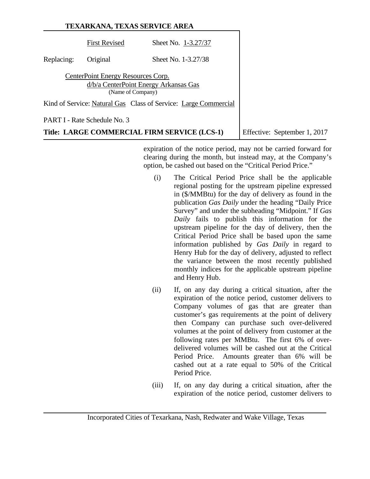|            |                                                         | TEXARKANA, TEXAS SERVICE AREA                                   |                              |
|------------|---------------------------------------------------------|-----------------------------------------------------------------|------------------------------|
|            | <b>First Revised</b>                                    | Sheet No. 1-3.27/37                                             |                              |
| Replacing: | Original                                                | Sheet No. 1-3.27/38                                             |                              |
|            | CenterPoint Energy Resources Corp.<br>(Name of Company) | d/b/a CenterPoint Energy Arkansas Gas                           |                              |
|            |                                                         | Kind of Service: Natural Gas Class of Service: Large Commercial |                              |
|            | PART I - Rate Schedule No. 3                            |                                                                 |                              |
|            |                                                         | Title: LARGE COMMERCIAL FIRM SERVICE (LCS-1)                    | Effective: September 1, 2017 |

expiration of the notice period, may not be carried forward for clearing during the month, but instead may, at the Company's option, be cashed out based on the "Critical Period Price."

- (i) The Critical Period Price shall be the applicable regional posting for the upstream pipeline expressed in (\$/MMBtu) for the day of delivery as found in the publication *Gas Daily* under the heading "Daily Price Survey" and under the subheading "Midpoint." If *Gas Daily* fails to publish this information for the upstream pipeline for the day of delivery, then the Critical Period Price shall be based upon the same information published by *Gas Daily* in regard to Henry Hub for the day of delivery, adjusted to reflect the variance between the most recently published monthly indices for the applicable upstream pipeline and Henry Hub.
- (ii) If, on any day during a critical situation, after the expiration of the notice period, customer delivers to Company volumes of gas that are greater than customer's gas requirements at the point of delivery then Company can purchase such over-delivered volumes at the point of delivery from customer at the following rates per MMBtu. The first 6% of overdelivered volumes will be cashed out at the Critical Period Price. Amounts greater than 6% will be cashed out at a rate equal to 50% of the Critical Period Price.
- (iii) If, on any day during a critical situation, after the expiration of the notice period, customer delivers to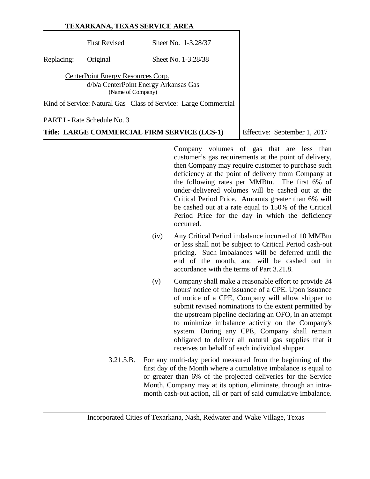|            |                                    | TEXARKANA, TEXAS SERVICE AREA                                   |
|------------|------------------------------------|-----------------------------------------------------------------|
|            | <b>First Revised</b>               | Sheet No. 1-3.28/37                                             |
| Replacing: | Original                           | Sheet No. 1-3.28/38                                             |
|            | CenterPoint Energy Resources Corp. | d/b/a CenterPoint Energy Arkansas Gas<br>(Name of Company)      |
|            |                                    | Kind of Service: Natural Gas Class of Service: Large Commercial |
|            | PART I - Rate Schedule No. 3       |                                                                 |

**Title: LARGE COMMERCIAL FIRM SERVICE (LCS-1)** Effective: September 1, 2017

Company volumes of gas that are less than customer's gas requirements at the point of delivery, then Company may require customer to purchase such deficiency at the point of delivery from Company at the following rates per MMBtu. The first 6% of under-delivered volumes will be cashed out at the Critical Period Price. Amounts greater than 6% will be cashed out at a rate equal to 150% of the Critical Period Price for the day in which the deficiency occurred.

- (iv) Any Critical Period imbalance incurred of 10 MMBtu or less shall not be subject to Critical Period cash-out pricing. Such imbalances will be deferred until the end of the month, and will be cashed out in accordance with the terms of Part 3.21.8.
- (v) Company shall make a reasonable effort to provide 24 hours' notice of the issuance of a CPE. Upon issuance of notice of a CPE, Company will allow shipper to submit revised nominations to the extent permitted by the upstream pipeline declaring an OFO, in an attempt to minimize imbalance activity on the Company's system. During any CPE, Company shall remain obligated to deliver all natural gas supplies that it receives on behalf of each individual shipper.
- 3.21.5.B. For any multi-day period measured from the beginning of the first day of the Month where a cumulative imbalance is equal to or greater than 6% of the projected deliveries for the Service Month, Company may at its option, eliminate, through an intramonth cash-out action, all or part of said cumulative imbalance.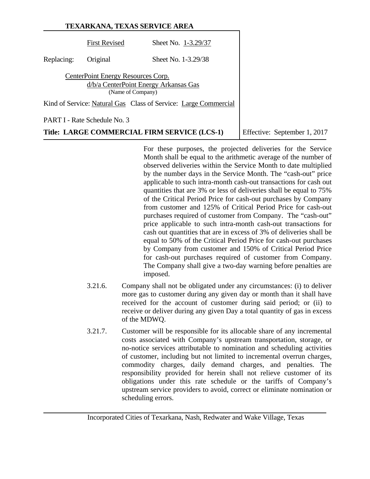| TEXARKANA, TEXAS SERVICE AREA |                                                         |                                                                 |  |
|-------------------------------|---------------------------------------------------------|-----------------------------------------------------------------|--|
|                               | <b>First Revised</b>                                    | Sheet No. 1-3.29/37                                             |  |
| Replacing:                    | Original                                                | Sheet No. 1-3.29/38                                             |  |
|                               | CenterPoint Energy Resources Corp.<br>(Name of Company) | d/b/a CenterPoint Energy Arkansas Gas                           |  |
|                               |                                                         | Kind of Service: Natural Gas Class of Service: Large Commercial |  |
|                               | PART I - Rate Schedule No. 3                            |                                                                 |  |

**Title: LARGE COMMERCIAL FIRM SERVICE (LCS-1)** Effective: September 1, 2017

For these purposes, the projected deliveries for the Service Month shall be equal to the arithmetic average of the number of observed deliveries within the Service Month to date multiplied by the number days in the Service Month. The "cash-out" price applicable to such intra-month cash-out transactions for cash out quantities that are 3% or less of deliveries shall be equal to 75% of the Critical Period Price for cash-out purchases by Company from customer and 125% of Critical Period Price for cash-out purchases required of customer from Company. The "cash-out" price applicable to such intra-month cash-out transactions for cash out quantities that are in excess of 3% of deliveries shall be equal to 50% of the Critical Period Price for cash-out purchases by Company from customer and 150% of Critical Period Price for cash-out purchases required of customer from Company. The Company shall give a two-day warning before penalties are imposed.

- 3.21.6. Company shall not be obligated under any circumstances: (i) to deliver more gas to customer during any given day or month than it shall have received for the account of customer during said period; or (ii) to receive or deliver during any given Day a total quantity of gas in excess of the MDWQ.
- 3.21.7. Customer will be responsible for its allocable share of any incremental costs associated with Company's upstream transportation, storage, or no-notice services attributable to nomination and scheduling activities of customer, including but not limited to incremental overrun charges, commodity charges, daily demand charges, and penalties. The responsibility provided for herein shall not relieve customer of its obligations under this rate schedule or the tariffs of Company's upstream service providers to avoid, correct or eliminate nomination or scheduling errors.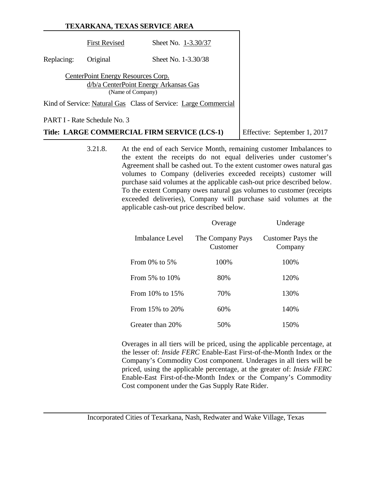|            |                                                         | TEXARKANA, TEXAS SERVICE AREA                                   |                              |
|------------|---------------------------------------------------------|-----------------------------------------------------------------|------------------------------|
|            | <b>First Revised</b>                                    | Sheet No. 1-3.30/37                                             |                              |
| Replacing: | Original                                                | Sheet No. 1-3.30/38                                             |                              |
|            | CenterPoint Energy Resources Corp.<br>(Name of Company) | d/b/a CenterPoint Energy Arkansas Gas                           |                              |
|            |                                                         | Kind of Service: Natural Gas Class of Service: Large Commercial |                              |
|            | PART I - Rate Schedule No. 3                            |                                                                 |                              |
|            |                                                         | Title: LARGE COMMERCIAL FIRM SERVICE (LCS-1)                    | Effective: September 1, 2017 |

3.21.8. At the end of each Service Month, remaining customer Imbalances to the extent the receipts do not equal deliveries under customer's Agreement shall be cashed out. To the extent customer owes natural gas volumes to Company (deliveries exceeded receipts) customer will purchase said volumes at the applicable cash-out price described below. To the extent Company owes natural gas volumes to customer (receipts exceeded deliveries), Company will purchase said volumes at the applicable cash-out price described below.

|                       | Overage                      | Underage                     |
|-----------------------|------------------------------|------------------------------|
| Imbalance Level       | The Company Pays<br>Customer | Customer Pays the<br>Company |
| From 0% to 5%         | 100%                         | 100%                         |
| From 5% to 10%        | 80%                          | 120%                         |
| From $10\%$ to $15\%$ | 70%                          | 130%                         |
| From 15% to 20%       | 60%                          | 140%                         |
| Greater than 20%      | 50%                          | 150%                         |

Overages in all tiers will be priced, using the applicable percentage, at the lesser of: *Inside FERC* Enable-East First-of-the-Month Index or the Company's Commodity Cost component. Underages in all tiers will be priced, using the applicable percentage, at the greater of: *Inside FERC* Enable-East First-of-the-Month Index or the Company's Commodity Cost component under the Gas Supply Rate Rider.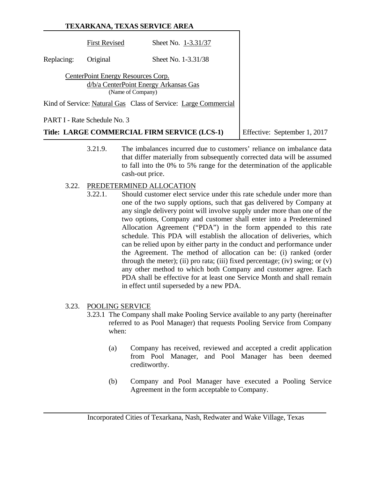|            |                                                         | TEXARKANA, TEXAS SERVICE AREA                                   |                              |
|------------|---------------------------------------------------------|-----------------------------------------------------------------|------------------------------|
|            | <b>First Revised</b>                                    | Sheet No. 1-3.31/37                                             |                              |
| Replacing: | Original                                                | Sheet No. 1-3.31/38                                             |                              |
|            | CenterPoint Energy Resources Corp.<br>(Name of Company) | d/b/a CenterPoint Energy Arkansas Gas                           |                              |
|            |                                                         | Kind of Service: Natural Gas Class of Service: Large Commercial |                              |
|            | PART I - Rate Schedule No. 3                            |                                                                 |                              |
|            |                                                         | Title: LARGE COMMERCIAL FIRM SERVICE (LCS-1)                    | Effective: September 1, 2017 |

3.21.9. The imbalances incurred due to customers' reliance on imbalance data that differ materially from subsequently corrected data will be assumed to fall into the 0% to 5% range for the determination of the applicable cash-out price.

#### 3.22. PREDETERMINED ALLOCATION

3.22.1. Should customer elect service under this rate schedule under more than one of the two supply options, such that gas delivered by Company at any single delivery point will involve supply under more than one of the two options, Company and customer shall enter into a Predetermined Allocation Agreement ("PDA") in the form appended to this rate schedule. This PDA will establish the allocation of deliveries, which can be relied upon by either party in the conduct and performance under the Agreement. The method of allocation can be: (i) ranked (order through the meter); (ii) pro rata; (iii) fixed percentage; (iv) swing; or  $(v)$ any other method to which both Company and customer agree. Each PDA shall be effective for at least one Service Month and shall remain in effect until superseded by a new PDA.

# 3.23. POOLING SERVICE

- 3.23.1 The Company shall make Pooling Service available to any party (hereinafter referred to as Pool Manager) that requests Pooling Service from Company when:
	- (a) Company has received, reviewed and accepted a credit application from Pool Manager, and Pool Manager has been deemed creditworthy.
	- (b) Company and Pool Manager have executed a Pooling Service Agreement in the form acceptable to Company.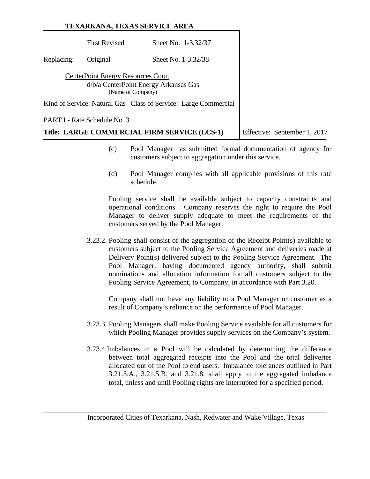|            |                                                         | TEXARKANA, TEXAS SERVICE AREA                                   |                              |
|------------|---------------------------------------------------------|-----------------------------------------------------------------|------------------------------|
|            | <b>First Revised</b>                                    | Sheet No. 1-3.32/37                                             |                              |
| Replacing: | Original                                                | Sheet No. 1-3.32/38                                             |                              |
|            | CenterPoint Energy Resources Corp.<br>(Name of Company) | d/b/a CenterPoint Energy Arkansas Gas                           |                              |
|            |                                                         | Kind of Service: Natural Gas Class of Service: Large Commercial |                              |
|            | PART I - Rate Schedule No. 3                            |                                                                 |                              |
|            |                                                         | Title: LARGE COMMERCIAL FIRM SERVICE (LCS-1)                    | Effective: September 1, 2017 |

- (c) Pool Manager has submitted formal documentation of agency for customers subject to aggregation under this service.
- (d) Pool Manager complies with all applicable provisions of this rate schedule.

Pooling service shall be available subject to capacity constraints and operational conditions. Company reserves the right to require the Pool Manager to deliver supply adequate to meet the requirements of the customers served by the Pool Manager.

3.23.2. Pooling shall consist of the aggregation of the Receipt Point(s) available to customers subject to the Pooling Service Agreement and deliveries made at Delivery Point(s) delivered subject to the Pooling Service Agreement. The Pool Manager, having documented agency authority, shall submit nominations and allocation information for all customers subject to the Pooling Service Agreement, to Company, in accordance with Part 3.20.

Company shall not have any liability to a Pool Manager or customer as a result of Company's reliance on the performance of Pool Manager.

- 3.23.3. Pooling Managers shall make Pooling Service available for all customers for which Pooling Manager provides supply services on the Company's system.
- 3.23.4.Imbalances in a Pool will be calculated by determining the difference between total aggregated receipts into the Pool and the total deliveries allocated out of the Pool to end users. Imbalance tolerances outlined in Part 3.21.5.A., 3.21.5.B. and 3.21.8. shall apply to the aggregated imbalance total, unless and until Pooling rights are interrupted for a specified period.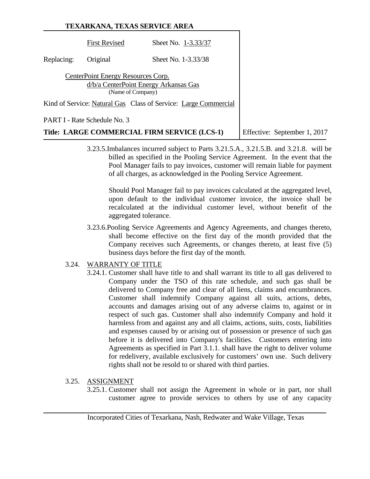|            | TEXARKANA, TEXAS SERVICE AREA                           |                                                                 |                              |
|------------|---------------------------------------------------------|-----------------------------------------------------------------|------------------------------|
|            | <b>First Revised</b>                                    | Sheet No. 1-3.33/37                                             |                              |
| Replacing: | Original                                                | Sheet No. 1-3.33/38                                             |                              |
|            | CenterPoint Energy Resources Corp.<br>(Name of Company) | d/b/a CenterPoint Energy Arkansas Gas                           |                              |
|            |                                                         | Kind of Service: Natural Gas Class of Service: Large Commercial |                              |
|            | <b>PART I - Rate Schedule No. 3</b>                     |                                                                 |                              |
|            |                                                         | Title: LARGE COMMERCIAL FIRM SERVICE (LCS-1)                    | Effective: September 1, 2017 |

3.23.5.Imbalances incurred subject to Parts 3.21.5.A., 3.21.5.B. and 3.21.8. will be billed as specified in the Pooling Service Agreement. In the event that the Pool Manager fails to pay invoices, customer will remain liable for payment of all charges, as acknowledged in the Pooling Service Agreement.

Should Pool Manager fail to pay invoices calculated at the aggregated level, upon default to the individual customer invoice, the invoice shall be recalculated at the individual customer level, without benefit of the aggregated tolerance.

3.23.6.Pooling Service Agreements and Agency Agreements, and changes thereto, shall become effective on the first day of the month provided that the Company receives such Agreements, or changes thereto, at least five (5) business days before the first day of the month.

# 3.24. WARRANTY OF TITLE

3.24.1. Customer shall have title to and shall warrant its title to all gas delivered to Company under the TSO of this rate schedule, and such gas shall be delivered to Company free and clear of all liens, claims and encumbrances. Customer shall indemnify Company against all suits, actions, debts, accounts and damages arising out of any adverse claims to, against or in respect of such gas. Customer shall also indemnify Company and hold it harmless from and against any and all claims, actions, suits, costs, liabilities and expenses caused by or arising out of possession or presence of such gas before it is delivered into Company's facilities. Customers entering into Agreements as specified in Part 3.1.1. shall have the right to deliver volume for redelivery, available exclusively for customers' own use. Such delivery rights shall not be resold to or shared with third parties.

# 3.25. ASSIGNMENT

3.25.1. Customer shall not assign the Agreement in whole or in part, nor shall customer agree to provide services to others by use of any capacity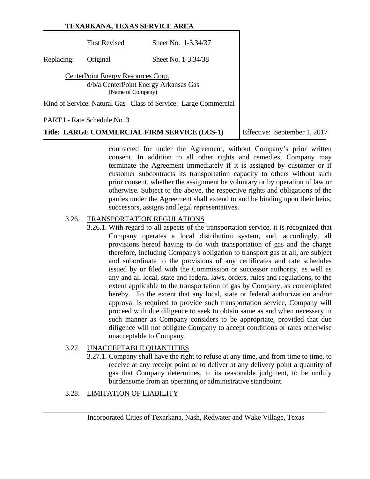| TEXARKANA, TEXAS SERVICE AREA |                                    |                                                                 |  |
|-------------------------------|------------------------------------|-----------------------------------------------------------------|--|
|                               | <b>First Revised</b>               | Sheet No. 1-3.34/37                                             |  |
| Replacing:                    | Original                           | Sheet No. 1-3.34/38                                             |  |
|                               | CenterPoint Energy Resources Corp. | d/b/a CenterPoint Energy Arkansas Gas<br>(Name of Company)      |  |
|                               |                                    | Kind of Service: Natural Gas Class of Service: Large Commercial |  |
|                               | PART I - Rate Schedule No. 3       |                                                                 |  |

**Title: LARGE COMMERCIAL FIRM SERVICE (LCS-1)** Effective: September 1, 2017

contracted for under the Agreement, without Company's prior written consent. In addition to all other rights and remedies, Company may terminate the Agreement immediately if it is assigned by customer or if customer subcontracts its transportation capacity to others without such prior consent, whether the assignment be voluntary or by operation of law or otherwise. Subject to the above, the respective rights and obligations of the parties under the Agreement shall extend to and be binding upon their heirs, successors, assigns and legal representatives.

# 3.26. TRANSPORTATION REGULATIONS

3.26.1. With regard to all aspects of the transportation service, it is recognized that Company operates a local distribution system, and, accordingly, all provisions hereof having to do with transportation of gas and the charge therefore, including Company's obligation to transport gas at all, are subject and subordinate to the provisions of any certificates and rate schedules issued by or filed with the Commission or successor authority, as well as any and all local, state and federal laws, orders, rules and regulations, to the extent applicable to the transportation of gas by Company, as contemplated hereby. To the extent that any local, state or federal authorization and/or approval is required to provide such transportation service, Company will proceed with due diligence to seek to obtain same as and when necessary in such manner as Company considers to be appropriate, provided that due diligence will not obligate Company to accept conditions or rates otherwise unacceptable to Company.

# 3.27. UNACCEPTABLE QUANTITIES

3.27.1. Company shall have the right to refuse at any time, and from time to time, to receive at any receipt point or to deliver at any delivery point a quantity of gas that Company determines, in its reasonable judgment, to be unduly burdensome from an operating or administrative standpoint.

# 3.28. LIMITATION OF LIABILITY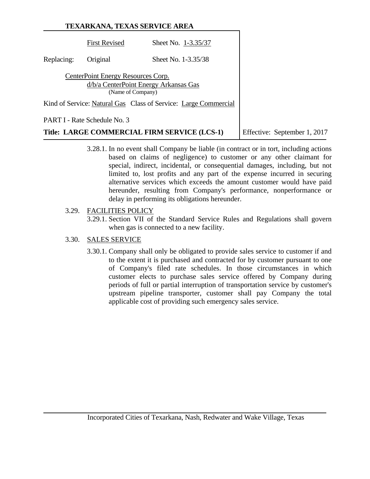|            |                                                         | TEXARKANA, TEXAS SERVICE AREA                                   |                              |
|------------|---------------------------------------------------------|-----------------------------------------------------------------|------------------------------|
|            | <b>First Revised</b>                                    | Sheet No. 1-3.35/37                                             |                              |
| Replacing: | Original                                                | Sheet No. 1-3.35/38                                             |                              |
|            | CenterPoint Energy Resources Corp.<br>(Name of Company) | d/b/a CenterPoint Energy Arkansas Gas                           |                              |
|            |                                                         | Kind of Service: Natural Gas Class of Service: Large Commercial |                              |
|            | PART I - Rate Schedule No. 3                            |                                                                 |                              |
|            |                                                         | Title: LARGE COMMERCIAL FIRM SERVICE (LCS-1)                    | Effective: September 1, 2017 |

3.28.1. In no event shall Company be liable (in contract or in tort, including actions based on claims of negligence) to customer or any other claimant for special, indirect, incidental, or consequential damages, including, but not limited to, lost profits and any part of the expense incurred in securing alternative services which exceeds the amount customer would have paid hereunder, resulting from Company's performance, nonperformance or delay in performing its obligations hereunder.

# 3.29. FACILITIES POLICY

3.29.1. Section VII of the Standard Service Rules and Regulations shall govern when gas is connected to a new facility.

# 3.30. SALES SERVICE

3.30.1. Company shall only be obligated to provide sales service to customer if and to the extent it is purchased and contracted for by customer pursuant to one of Company's filed rate schedules. In those circumstances in which customer elects to purchase sales service offered by Company during periods of full or partial interruption of transportation service by customer's upstream pipeline transporter, customer shall pay Company the total applicable cost of providing such emergency sales service.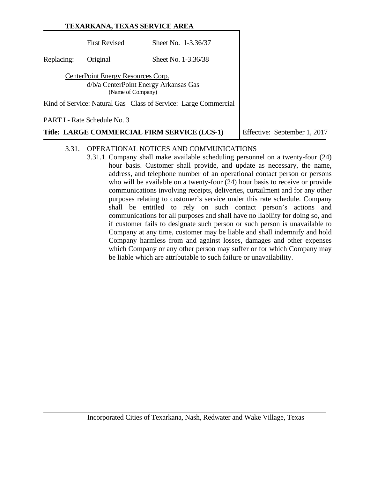|            | TEXARKANA, TEXAS SERVICE AREA                           |                                                                 |                              |
|------------|---------------------------------------------------------|-----------------------------------------------------------------|------------------------------|
|            | <b>First Revised</b>                                    | Sheet No. 1-3.36/37                                             |                              |
| Replacing: | Original                                                | Sheet No. 1-3.36/38                                             |                              |
|            | CenterPoint Energy Resources Corp.<br>(Name of Company) | d/b/a CenterPoint Energy Arkansas Gas                           |                              |
|            |                                                         | Kind of Service: Natural Gas Class of Service: Large Commercial |                              |
|            | PART I - Rate Schedule No. 3                            |                                                                 |                              |
|            |                                                         | Title: LARGE COMMERCIAL FIRM SERVICE (LCS-1)                    | Effective: September 1, 2017 |

# 3.31. OPERATIONAL NOTICES AND COMMUNICATIONS

3.31.1. Company shall make available scheduling personnel on a twenty-four (24) hour basis. Customer shall provide, and update as necessary, the name, address, and telephone number of an operational contact person or persons who will be available on a twenty-four (24) hour basis to receive or provide communications involving receipts, deliveries, curtailment and for any other purposes relating to customer's service under this rate schedule. Company shall be entitled to rely on such contact person's actions and communications for all purposes and shall have no liability for doing so, and if customer fails to designate such person or such person is unavailable to Company at any time, customer may be liable and shall indemnify and hold Company harmless from and against losses, damages and other expenses which Company or any other person may suffer or for which Company may be liable which are attributable to such failure or unavailability.